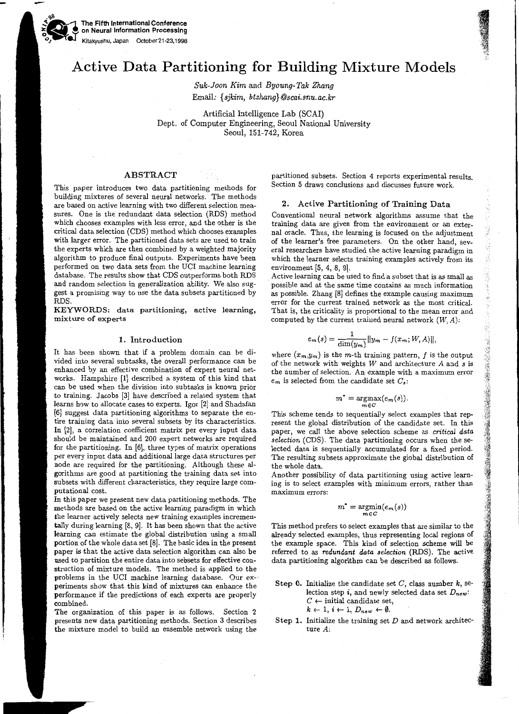The Fifth International Conference on Neural Information Processing Kitakyushu, Japan October 21-23,1998

.90

# Active Data Partitioning for Building Mixture Models

*Suk-Joon Kim* and *Byoung-Tak Zhang*  Email: *{sjkim, btzhang}@scai.snu.ac.kr* 

Artificial Intelligence Lab (SCAI) Dept. of Computer Engineering, Seoul National University Seoul, 151-742, Korea

# ABSTRACT

This paper introduces two data partitioning methods for building mixtures of several neural networks. The methods are based on active learning with two different selection measures. One is the redundant data selection (RDS) method which chooses examples with less error, and the other is the critical data selection (CDS) method which chooses examples with larger error. The partitioned data sets are used to train the experts which are then combined by a weighted majority algorithm to produce final outputs. Experiments have been performed on two data sets from the UCI machine learning database. The results show that CDS outperforms both RDS and random selection in generalization ability. We also suggest a promising way to use the data subsets partitioned by RDS.

KEYWORDS: data partitioning, active learning, mixture of experts

## I. Introduction

It has been shown that if a problem domain can be divided into several subtasks, the overall performance can be enhanced by an effective combination of expert neural networks. Hampshire (1] described a system of this kind that can be used when the division into subtasks is known prior to training. Jacobs (3] have described a related system that learns how to allocate cases to experts. Igor (2] and Shadafan (6] suggest data partitioning algorithms to separate the entire training data into several subsets by its characteristics. In (2], a correlation coefficient matrix per every input data should be maintained and 200 expert networks are required for the partitioning. In (6], three types of matrix operations per every input data and additional large data structures per node are required for the partitioning. Although these algorithms are good at partitioning the training data set into subsets with different characteristics, they require large computational cost.

In this paper we present new data partitioning methods. The methods are based on the active learning paradigm in which the learner actively selects new training examples incrementally during learning  $[8, 9]$ . It has been shown that the active learning can estimate the global distribution using a small portion of the whole data set (8]. The basic idea in the present paper is that the active data selection algorithm can also be used to partition the entire data into sebsets for effective construction of mixture models. The method is applied to the problems in the UCI machine learning database. Our experiments show that this kind of mixtures can enhance the performance if the predictions of each experts are properly combined.

The organization of this paper is as follows. Section 2 presents new data partitioning methods. Section 3 describes the mixture model to build an ensemble network using the partitioned subsets. Section 4 reports experimental results. Section 5 draws conclusions and discusses future work.

### 2. Active Partitioning of Training Data

Conventional neural network algorithms assume that the training data are given from the environment or an external oracle. Thus, the learning is focused on the adjustment of the learner's free parameters. On the other hand, several researchers have studied the active learning paradigm in which the learner selects training examples actively from its environment (5, 4, 8, 9].

Active learning can be used to find a subset that is as small as possible and at the same time contains as much information as possible. Zhang [8] defines the example causing maximum error for the current trained network as the most critical. That is, the criticality is proportional to the mean error and computed by the current trained neural network  $(W, A)$ :

$$
e_m(s) = \frac{1}{\dim(y_m)}||y_m - f(x_m;W,A)||,
$$

where  $(x_m, y_m)$  is the m-th training pattern, f is the output of the network with weights  $W$  and architecture  $A$  and  $s$  is the number of selection. An example with a maximum error  $e_m$  is selected from the candidate set  $C_s$ :

$$
m^* = \underset{m \in C}{\operatorname{argmax}}(e_m(s)).
$$

This scheme tends to sequentially select examples that represent the global distribution of the candidate set. In this paper, we call the above selection scheme as *critical data selection* (CDS). The data partitioning occurs when the selected data is sequentially accumulated for a fixed period. The resulting subsets approximate the global distribution of the whole data.

**1945年19月14日, 1949年19月18日, 1949年, 1949年, 1949年, 1949年, 1949年, 1949年, 1949年, 1949年, 1949年, 1949年, 1949年, 1949年,** 194

Another possibility of data partitioning using active learning is to select examples with minimum errors, rather than maximum errors:

$$
m^* = \underset{m \in C}{\operatorname{argmin}}(e_m(s))
$$

This method prefers to select examples that are similar to the already selected examples, thus representing local regions of the example space. This kind of selection scheme will be referred to as *redundant data selection* (RDS). The active data partitioning algorithm can be described as follows.

Step 0. Initialize the candidate set  $C$ , class number  $k$ , selection step *i*, and newly selected data set  $D_{new}$ :  $C \leftarrow$  initial candidate set,  $k \leftarrow 1, i \leftarrow 1, D_{new} \leftarrow \emptyset.$ 

Step 1. Initialize the training set *D* and network architecture A: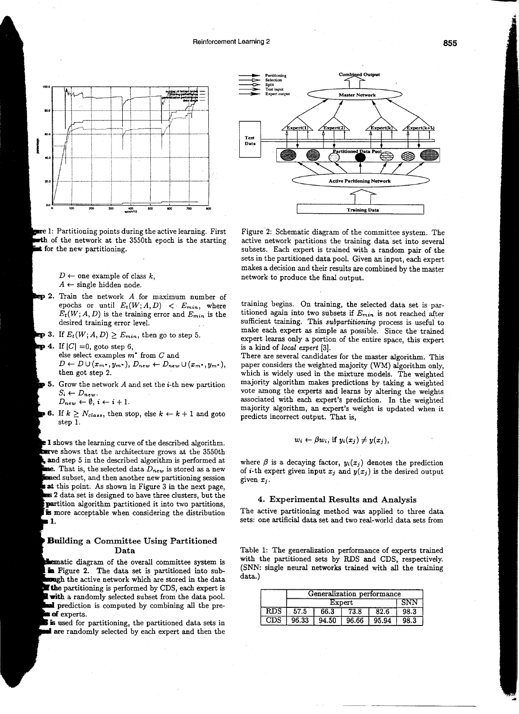

 $\blacksquare$  1: Partitioning points during the active learning. First of the network at the 3550th epoch is the starting for the new partitioning.

> $D \leftarrow$  one example of class  $k$ ,  $A \leftarrow$  single hidden node.

- 2. Train the network *A* for maximum number of
- epochs or until  $E_t(W; A, D) < E_{min}$ , where  $E_t(W; A, D)$  is the training error and  $E_{min}$  is the desired training error level.
- **3.** If  $E_t(W; A, D) \geq E_{min}$ , then go to step 5.
- 4. If  $|C| = 0$ , goto step 6, else select examples  $m^*$  from  $C$  and  $D \leftarrow D \cup (x_m, y_m, \cdot), D_{new} \leftarrow D_{new} \cup (x_m, y_m, \cdot),$ then got step 2.
- 5. Grow the network *A* and set the *i*-th new partition  $S_i \leftarrow D_{new}.$ <br>  $D_{new} \leftarrow \emptyset, i \leftarrow i+1.$

$$
D_{new} \leftarrow \emptyset, i \leftarrow i + 1.
$$

**6.** If  $k \geq N_{class}$ , then stop, else  $k \leftarrow k+1$  and goto step 1.

**1** shows the learning curve of the described algorithm. structure shows that the architecture grows at the 3550th and step 5 in the described algorithm is performed at That is, the selected data *Dnew* is stored as a new subset, and then another new partitioning session **at** this point. As shown in Figure 3 in the next page, 2 data set is designed to have three clusters, but the partition algorithm partitioned it into two partitions, **is** more acceptable when considering the distribution **1.** 

## **Building** a Committee Using Partitioned Data

**Internatic diagram of the overall committee system is** in Figure 2. The data set is partitioned into sub**tough** the active network which are stored in the data **The partitioning is performed by CDS, each expert is** with a randomly selected subset from the data pool. al prediction is computed by combining all the pre**of** experts.

is used for partitioning, the partitioned data sets in al are randomly selected by each expert and then the



Figure 2: Schematic diagram of the committee system. The active network partitions the training data set into several subsets. Each expert is trained with a random pair of the sets in the partitioned data pool. Given an input, each expert makes a decision and their results are combined by the master network to produce the final output.

training begins. On training, the selected data set is partitioned again into two subsets if *Emin* is not reached after sufficient training. This *subparlitioning* process is useful to make each expert as simple as possible. Since the trained expert learns only a portion of the entire space, this expert is a kind of *local expert* [3].

There are several candidates for the master algorithm. This paper considers the weighted majority (WM) algorithm only, which is widely used in the mixture models. The weighted majority algorithm makes predictions by taking a weighted vote among the experts and learns by altering the weights associated with each expert's prediction. In the weighted majority algorithm, an expert's weight is updated when it predicts incorrect output. That is,

$$
w_i \leftarrow \beta w_i, \text{ if } y_i(x_j) \neq y(x_j),
$$

where  $\beta$  is a decaying factor,  $y_i(x_j)$  denotes the prediction of *i*-th expert given input  $x_j$  and  $y(x_j)$  is the desired output given  $x_j$ .

## 4. Experimental Results and Analysis

The active partitioning method was applied to three data sets: one artificial data set and two real-world data sets from

Table 1: The generalization performance of experts trained with the partitioned sets by RDS and CDS, respectively. (SNN: single neural networks trained with all the training data.)

|            | Generalization performance |       |       |       |      |  |
|------------|----------------------------|-------|-------|-------|------|--|
|            | ${\rm Expert}$             |       |       |       |      |  |
| RDS        | 57.5                       | 66.3  | 73.8  | 82.6  | 98.3 |  |
| <b>CDS</b> | 96.33                      | 94.50 | 96.66 | 95.94 | 98.3 |  |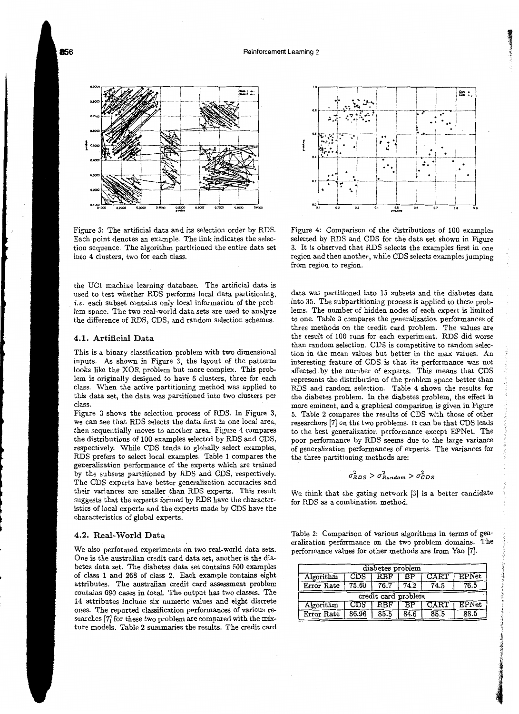Reinforcement Learning 2



Figure 3: The artificial data and its selection order by RDS. Each point denotes an example. The link indicates the selection sequence. The algorithm partitioned the entire data set into 4 clusters, two for each class.

the UCI machine learning database. The artificial data is used to test whether RDS performs local data partitioning, *i.e.* each subset contains only local information of the problem space. The two real-world data sets are used to analyze the difference of RDS, CDS, and random selection schemes.

## 4.1. Artificial Data

This is a binary classification problem with two dimensional inputs. As shown in Figure 3, the layout of the patterns looks like the XOR problem but more complex. This problem is originally designed to have 6 clusters, three for each class. When the active partitioning method was applied to this data set, the data was partitioned into two clusters per class.

Figure 3 shows the selection process of RDS. In Figure 3, we can see that RDS selects the data first in one local area, then sequentially moves to another area. Figure 4 compares the distributions of 100 examples selected by RDS and CDS, respectively. While CDS tends to globally select examples, RDS prefers to select local examples. Table 1 compares the generalization performance of the experts which are trained by the subsets partitioned by RDS and CDS, respectively. The CDS experts have better generalization accuracies and their variances are smaller than RDS experts. This result suggests that the experts formed by RDS have the characteristics of local experts and the experts made by CDS have the characteristics of global experts.

### 4.2. Real-World Data

We also performed experiments on two real-world data sets. One is the australian credit card data set, another is the diabetes data set. The diabetes data set contains 500 examples of class 1 and 268 of class 2. Each example Contains eight attributes. The australian credit card assessment problem contains 690 cases in total. The output has two classes. The 14 attributes include six numeric values and eight discrete ones. The reported classification performances of various researches [7] for these two problem are compared with the mixture models. Table 2 summaries the results. The credit card



Figure 4: Comparison of the distributions of 100 examples selected by RDS and CDS for the data set shown in Figure 3. It is observed that RDS selects the examples first in one region and then another, while CDS selects examples jumping from region to region.

data was partitioned into 15 subsets and the diabetes data into 35. The subpartitioning process is applied to these problems. The number of hidden nodes of each expert is limited to one. Table 3 compares the generalization performances of three methods on the credit card problem. The values are the result of 100 runs for each experiment. RDS did worse than random selection. CDS is competitive to random selection in the mean values but better in the max values. An interesting feature of CDS is that its performance was not affected .by the number of experts. This means that CDS represents the distribution of the problem space better than RDS and random selection. Table 4 shows the results for the diabetes problem. In the diabetes problem, the effect is more eminent, and a graphical comparison is given in Figure 5. Table 2 compares the results of CDS with those of other researchers [7] on the two problems. It can be that CDS leads to the best generalization performance except EPNet. The poor performance by RDS seems due to the large variance of generalization performances of experts. The variances for the three partitioning methods are:

$$
\sigma_{RDS}^2 > \sigma_{Random}^2 > \sigma_{CDS}^2
$$

We think that the gating network [3] is a better candidate for RDS as a combination method.

Table 2: Comparison of various algorithms in terms of generalization performance on the two problem domains. The performance values for other methods are from Yao [7].

| diabetes problem    |       |      |      |                |              |  |
|---------------------|-------|------|------|----------------|--------------|--|
| Algorithm           | CDS   | RBF  | ВP   | $\rm CAT$      | $\rm EPNet$  |  |
| Error Rate          | 75.60 | 76.7 | 74.2 | 74.5           | 76.5         |  |
| credit card problem |       |      |      |                |              |  |
| Algorithm           | CDS   | R.BF |      | $_{\rm{CART}}$ | <b>EPNet</b> |  |
| Error Rate          | 86.96 | 85.5 | 84.6 | 85.5           | 88.5         |  |